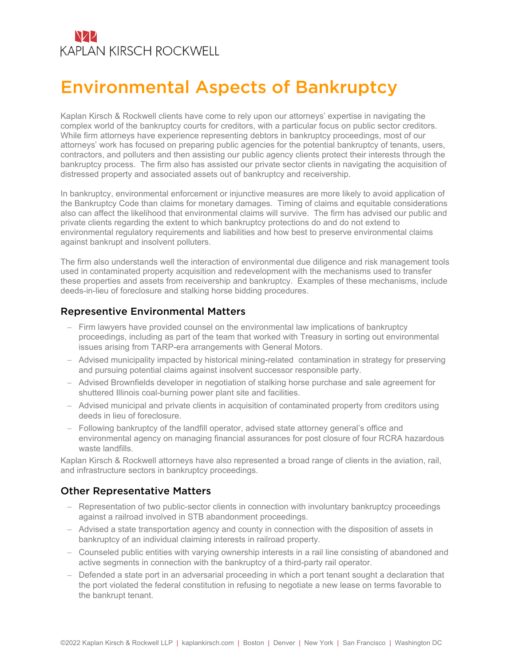## NZZ **KAPLAN KIRSCH ROCKWELL**

# Environmental Aspects of Bankruptcy

Kaplan Kirsch & Rockwell clients have come to rely upon our attorneys' expertise in navigating the complex world of the bankruptcy courts for creditors, with a particular focus on public sector creditors. While firm attorneys have experience representing debtors in bankruptcy proceedings, most of our attorneys' work has focused on preparing public agencies for the potential bankruptcy of tenants, users, contractors, and polluters and then assisting our public agency clients protect their interests through the bankruptcy process. The firm also has assisted our private sector clients in navigating the acquisition of distressed property and associated assets out of bankruptcy and receivership.

In bankruptcy, environmental enforcement or injunctive measures are more likely to avoid application of the Bankruptcy Code than claims for monetary damages. Timing of claims and equitable considerations also can affect the likelihood that environmental claims will survive. The firm has advised our public and private clients regarding the extent to which bankruptcy protections do and do not extend to environmental regulatory requirements and liabilities and how best to preserve environmental claims against bankrupt and insolvent polluters.

The firm also understands well the interaction of environmental due diligence and risk management tools used in contaminated property acquisition and redevelopment with the mechanisms used to transfer these properties and assets from receivership and bankruptcy. Examples of these mechanisms, include deeds-in-lieu of foreclosure and stalking horse bidding procedures.

#### Representive Environmental Matters

- Firm lawyers have provided counsel on the environmental law implications of bankruptcy proceedings, including as part of the team that worked with Treasury in sorting out environmental issues arising from TARP-era arrangements with General Motors.
- Advised municipality impacted by historical mining-related contamination in strategy for preserving and pursuing potential claims against insolvent successor responsible party.
- Advised Brownfields developer in negotiation of stalking horse purchase and sale agreement for shuttered Illinois coal-burning power plant site and facilities.
- Advised municipal and private clients in acquisition of contaminated property from creditors using deeds in lieu of foreclosure.
- Following bankruptcy of the landfill operator, advised state attorney general's office and environmental agency on managing financial assurances for post closure of four RCRA hazardous waste landfills.

Kaplan Kirsch & Rockwell attorneys have also represented a broad range of clients in the aviation, rail, and infrastructure sectors in bankruptcy proceedings.

#### Other Representative Matters

- Representation of two public-sector clients in connection with involuntary bankruptcy proceedings against a railroad involved in STB abandonment proceedings.
- Advised a state transportation agency and county in connection with the disposition of assets in bankruptcy of an individual claiming interests in railroad property.
- Counseled public entities with varying ownership interests in a rail line consisting of abandoned and active segments in connection with the bankruptcy of a third-party rail operator.
- Defended a state port in an adversarial proceeding in which a port tenant sought a declaration that the port violated the federal constitution in refusing to negotiate a new lease on terms favorable to the bankrupt tenant.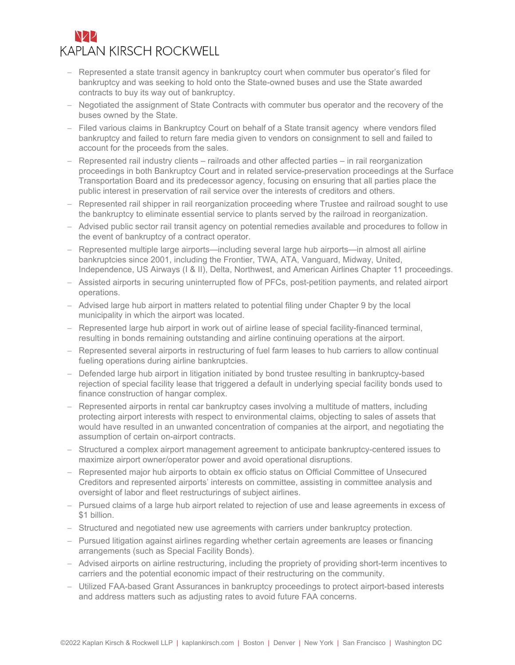### NZZ **KAPLAN KIRSCH ROCKWELL**

- Represented a state transit agency in bankruptcy court when commuter bus operator's filed for bankruptcy and was seeking to hold onto the State-owned buses and use the State awarded contracts to buy its way out of bankruptcy.
- Negotiated the assignment of State Contracts with commuter bus operator and the recovery of the buses owned by the State.
- Filed various claims in Bankruptcy Court on behalf of a State transit agency where vendors filed bankruptcy and failed to return fare media given to vendors on consignment to sell and failed to account for the proceeds from the sales.
- Represented rail industry clients railroads and other affected parties in rail reorganization proceedings in both Bankruptcy Court and in related service-preservation proceedings at the Surface Transportation Board and its predecessor agency, focusing on ensuring that all parties place the public interest in preservation of rail service over the interests of creditors and others.
- Represented rail shipper in rail reorganization proceeding where Trustee and railroad sought to use the bankruptcy to eliminate essential service to plants served by the railroad in reorganization.
- Advised public sector rail transit agency on potential remedies available and procedures to follow in the event of bankruptcy of a contract operator.
- Represented multiple large airports—including several large hub airports—in almost all airline bankruptcies since 2001, including the Frontier, TWA, ATA, Vanguard, Midway, United, Independence, US Airways (I & II), Delta, Northwest, and American Airlines Chapter 11 proceedings.
- Assisted airports in securing uninterrupted flow of PFCs, post-petition payments, and related airport operations.
- Advised large hub airport in matters related to potential filing under Chapter 9 by the local municipality in which the airport was located.
- Represented large hub airport in work out of airline lease of special facility-financed terminal, resulting in bonds remaining outstanding and airline continuing operations at the airport.
- Represented several airports in restructuring of fuel farm leases to hub carriers to allow continual fueling operations during airline bankruptcies.
- Defended large hub airport in litigation initiated by bond trustee resulting in bankruptcy-based rejection of special facility lease that triggered a default in underlying special facility bonds used to finance construction of hangar complex.
- Represented airports in rental car bankruptcy cases involving a multitude of matters, including protecting airport interests with respect to environmental claims, objecting to sales of assets that would have resulted in an unwanted concentration of companies at the airport, and negotiating the assumption of certain on-airport contracts.
- Structured a complex airport management agreement to anticipate bankruptcy-centered issues to maximize airport owner/operator power and avoid operational disruptions.
- Represented major hub airports to obtain ex officio status on Official Committee of Unsecured Creditors and represented airports' interests on committee, assisting in committee analysis and oversight of labor and fleet restructurings of subject airlines.
- Pursued claims of a large hub airport related to rejection of use and lease agreements in excess of \$1 billion.
- Structured and negotiated new use agreements with carriers under bankruptcy protection.
- Pursued litigation against airlines regarding whether certain agreements are leases or financing arrangements (such as Special Facility Bonds).
- Advised airports on airline restructuring, including the propriety of providing short-term incentives to carriers and the potential economic impact of their restructuring on the community.
- Utilized FAA-based Grant Assurances in bankruptcy proceedings to protect airport-based interests and address matters such as adjusting rates to avoid future FAA concerns.